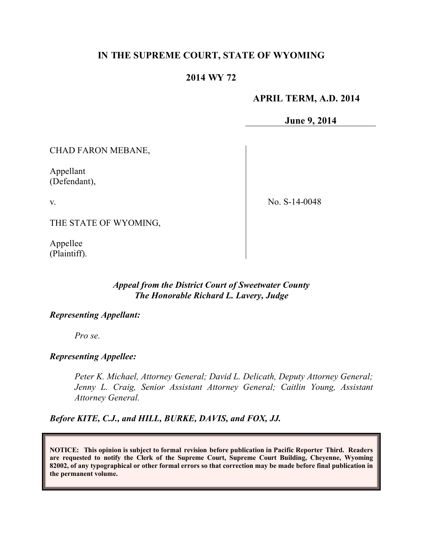# **IN THE SUPREME COURT, STATE OF WYOMING**

### **2014 WY 72**

### **APRIL TERM, A.D. 2014**

**June 9, 2014**

CHAD FARON MEBANE,

Appellant (Defendant),

v.

No. S-14-0048

THE STATE OF WYOMING,

Appellee (Plaintiff).

# *Appeal from the District Court of Sweetwater County The Honorable Richard L. Lavery, Judge*

#### *Representing Appellant:*

*Pro se.*

#### *Representing Appellee:*

*Peter K. Michael, Attorney General; David L. Delicath, Deputy Attorney General; Jenny L. Craig, Senior Assistant Attorney General; Caitlin Young, Assistant Attorney General.*

*Before KITE, C.J., and HILL, BURKE, DAVIS, and FOX, JJ.*

**NOTICE: This opinion is subject to formal revision before publication in Pacific Reporter Third. Readers are requested to notify the Clerk of the Supreme Court, Supreme Court Building, Cheyenne, Wyoming 82002, of any typographical or other formal errors so that correction may be made before final publication in the permanent volume.**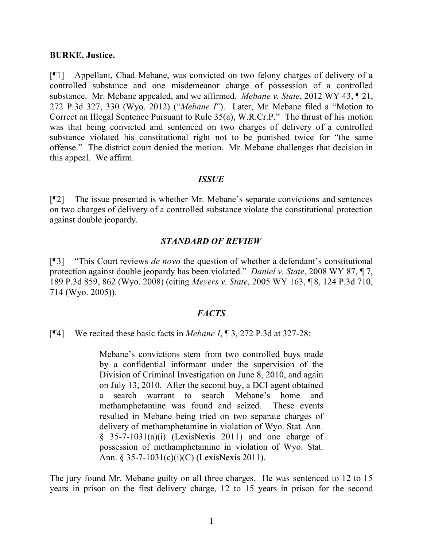#### **BURKE, Justice.**

[¶1] Appellant, Chad Mebane, was convicted on two felony charges of delivery of a controlled substance and one misdemeanor charge of possession of a controlled substance. Mr. Mebane appealed, and we affirmed. *Mebane v. State*, 2012 WY 43, ¶ 21, 272 P.3d 327, 330 (Wyo. 2012) ("*Mebane I*"). Later, Mr. Mebane filed a "Motion to Correct an Illegal Sentence Pursuant to Rule 35(a), W.R.Cr.P." The thrust of his motion was that being convicted and sentenced on two charges of delivery of a controlled substance violated his constitutional right not to be punished twice for "the same offense." The district court denied the motion. Mr. Mebane challenges that decision in this appeal. We affirm.

#### *ISSUE*

[¶2] The issue presented is whether Mr. Mebane's separate convictions and sentences on two charges of delivery of a controlled substance violate the constitutional protection against double jeopardy.

### *STANDARD OF REVIEW*

[¶3] "This Court reviews *de novo* the question of whether a defendant's constitutional protection against double jeopardy has been violated." *Daniel v. State*, 2008 WY 87, ¶ 7, 189 P.3d 859, 862 (Wyo. 2008) (citing *Meyers v. State*, 2005 WY 163, ¶ 8, 124 P.3d 710, 714 (Wyo. 2005)).

## *FACTS*

### [¶4] We recited these basic facts in *Mebane I*, ¶ 3, 272 P.3d at 327-28:

Mebane's convictions stem from two controlled buys made by a confidential informant under the supervision of the Division of Criminal Investigation on June 8, 2010, and again on July 13, 2010. After the second buy, a DCI agent obtained a search warrant to search Mebane's home and methamphetamine was found and seized. These events resulted in Mebane being tried on two separate charges of delivery of methamphetamine in violation of Wyo. Stat. Ann.  $§$  35-7-1031(a)(i) (LexisNexis 2011) and one charge of possession of methamphetamine in violation of Wyo. Stat. Ann. § 35-7-1031(c)(i)(C) (LexisNexis 2011).

The jury found Mr. Mebane guilty on all three charges. He was sentenced to 12 to 15 years in prison on the first delivery charge, 12 to 15 years in prison for the second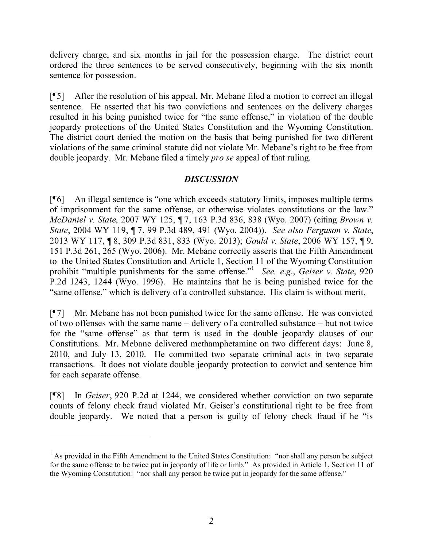delivery charge, and six months in jail for the possession charge. The district court ordered the three sentences to be served consecutively, beginning with the six month sentence for possession.

[¶5] After the resolution of his appeal, Mr. Mebane filed a motion to correct an illegal sentence. He asserted that his two convictions and sentences on the delivery charges resulted in his being punished twice for "the same offense," in violation of the double jeopardy protections of the United States Constitution and the Wyoming Constitution. The district court denied the motion on the basis that being punished for two different violations of the same criminal statute did not violate Mr. Mebane's right to be free from double jeopardy. Mr. Mebane filed a timely *pro se* appeal of that ruling.

# *DISCUSSION*

[¶6] An illegal sentence is "one which exceeds statutory limits, imposes multiple terms of imprisonment for the same offense, or otherwise violates constitutions or the law." *McDaniel v. State*, 2007 WY 125, ¶ 7, 163 P.3d 836, 838 (Wyo. 2007) (citing *Brown v. State*, 2004 WY 119, ¶ 7, 99 P.3d 489, 491 (Wyo. 2004)). *See also Ferguson v. State*, 2013 WY 117, ¶ 8, 309 P.3d 831, 833 (Wyo. 2013); *Gould v. State*, 2006 WY 157, ¶ 9, 151 P.3d 261, 265 (Wyo. 2006). Mr. Mebane correctly asserts that the Fifth Amendment to the United States Constitution and Article 1, Section 11 of the Wyoming Constitution prohibit "multiple punishments for the same offense." 1 *See, e*.*g*., *Geiser v. State*, 920 P.2d 1243, 1244 (Wyo. 1996). He maintains that he is being punished twice for the "same offense," which is delivery of a controlled substance. His claim is without merit.

[¶7] Mr. Mebane has not been punished twice for the same offense. He was convicted of two offenses with the same name – delivery of a controlled substance – but not twice for the "same offense" as that term is used in the double jeopardy clauses of our Constitutions. Mr. Mebane delivered methamphetamine on two different days: June 8, 2010, and July 13, 2010. He committed two separate criminal acts in two separate transactions. It does not violate double jeopardy protection to convict and sentence him for each separate offense.

[¶8] In *Geiser*, 920 P.2d at 1244, we considered whether conviction on two separate counts of felony check fraud violated Mr. Geiser's constitutional right to be free from double jeopardy. We noted that a person is guilty of felony check fraud if he "is

 $\overline{a}$ 

<sup>&</sup>lt;sup>1</sup> As provided in the Fifth Amendment to the United States Constitution: "nor shall any person be subject for the same offense to be twice put in jeopardy of life or limb." As provided in Article 1, Section 11 of the Wyoming Constitution: "nor shall any person be twice put in jeopardy for the same offense."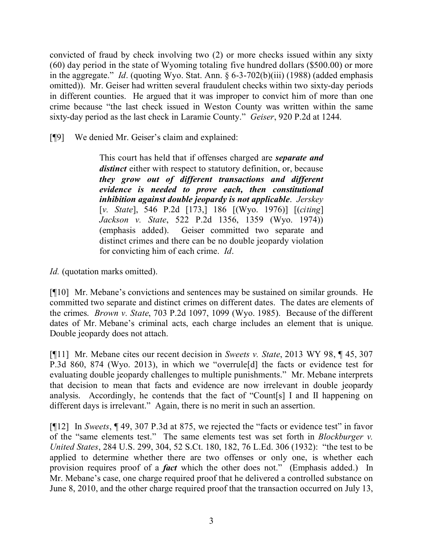convicted of fraud by check involving two (2) or more checks issued within any sixty (60) day period in the state of Wyoming totaling five hundred dollars (\$500.00) or more in the aggregate." *Id*. (quoting Wyo. Stat. Ann. § 6-3-702(b)(iii) (1988) (added emphasis omitted)). Mr. Geiser had written several fraudulent checks within two sixty-day periods in different counties. He argued that it was improper to convict him of more than one crime because "the last check issued in Weston County was written within the same sixty-day period as the last check in Laramie County." *Geiser*, 920 P.2d at 1244.

[¶9] We denied Mr. Geiser's claim and explained:

This court has held that if offenses charged are *separate and distinct* either with respect to statutory definition, or, because *they grow out of different transactions and different evidence is needed to prove each, then constitutional inhibition against double jeopardy is not applicable*. *Jerskey*  [*v. State*], 546 P.2d [173,] 186 [(Wyo. 1976)] [(*citing*] *Jackson v. State*, 522 P.2d 1356, 1359 (Wyo. 1974)) (emphasis added). Geiser committed two separate and distinct crimes and there can be no double jeopardy violation for convicting him of each crime. *Id*.

*Id.* (quotation marks omitted).

[¶10] Mr. Mebane's convictions and sentences may be sustained on similar grounds. He committed two separate and distinct crimes on different dates. The dates are elements of the crimes. *Brown v. State*, 703 P.2d 1097, 1099 (Wyo. 1985). Because of the different dates of Mr. Mebane's criminal acts, each charge includes an element that is unique. Double jeopardy does not attach.

[¶11] Mr. Mebane cites our recent decision in *Sweets v. State*, 2013 WY 98, ¶ 45, 307 P.3d 860, 874 (Wyo. 2013), in which we "overrule[d] the facts or evidence test for evaluating double jeopardy challenges to multiple punishments." Mr. Mebane interprets that decision to mean that facts and evidence are now irrelevant in double jeopardy analysis. Accordingly, he contends that the fact of "Count[s] I and II happening on different days is irrelevant." Again, there is no merit in such an assertion.

[¶12] In *Sweets*, ¶ 49, 307 P.3d at 875, we rejected the "facts or evidence test" in favor of the "same elements test." The same elements test was set forth in *Blockburger v. United States*, 284 U.S. 299, 304, 52 S.Ct. 180, 182, 76 L.Ed. 306 (1932): "the test to be applied to determine whether there are two offenses or only one, is whether each provision requires proof of a *fact* which the other does not." (Emphasis added.) In Mr. Mebane's case, one charge required proof that he delivered a controlled substance on June 8, 2010, and the other charge required proof that the transaction occurred on July 13,